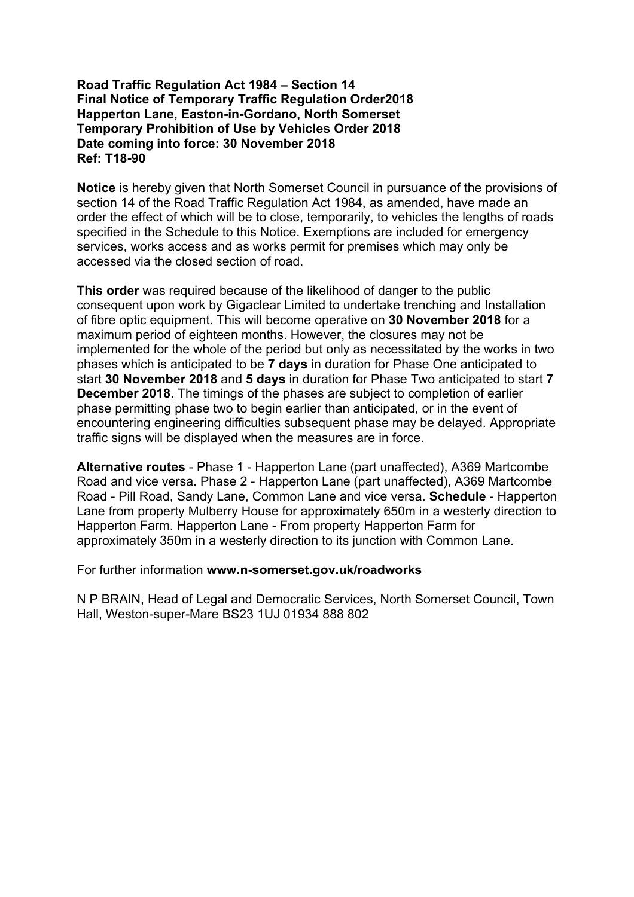# **Road Traffic Regulation Act 1984 – Section 14 Final Notice of Temporary Traffic Regulation Order2018 Happerton Lane, Easton-in-Gordano, North Somerset Temporary Prohibition of Use by Vehicles Order 2018 Date coming into force: 30 November 2018 Ref: T18-90**

**Notice** is hereby given that North Somerset Council in pursuance of the provisions of section 14 of the Road Traffic Regulation Act 1984, as amended, have made an order the effect of which will be to close, temporarily, to vehicles the lengths of roads specified in the Schedule to this Notice. Exemptions are included for emergency services, works access and as works permit for premises which may only be accessed via the closed section of road.

**This order** was required because of the likelihood of danger to the public consequent upon work by Gigaclear Limited to undertake trenching and Installation of fibre optic equipment. This will become operative on **30 November 2018** for a maximum period of eighteen months. However, the closures may not be implemented for the whole of the period but only as necessitated by the works in two phases which is anticipated to be **7 days** in duration for Phase One anticipated to start **30 November 2018** and **5 days** in duration for Phase Two anticipated to start **7 December 2018**. The timings of the phases are subject to completion of earlier phase permitting phase two to begin earlier than anticipated, or in the event of encountering engineering difficulties subsequent phase may be delayed. Appropriate traffic signs will be displayed when the measures are in force.

**Alternative routes** - Phase 1 - Happerton Lane (part unaffected), A369 Martcombe Road and vice versa. Phase 2 - Happerton Lane (part unaffected), A369 Martcombe Road - Pill Road, Sandy Lane, Common Lane and vice versa. **Schedule** - Happerton Lane from property Mulberry House for approximately 650m in a westerly direction to Happerton Farm. Happerton Lane - From property Happerton Farm for approximately 350m in a westerly direction to its junction with Common Lane.

For further information **www.n-somerset.gov.uk/roadworks**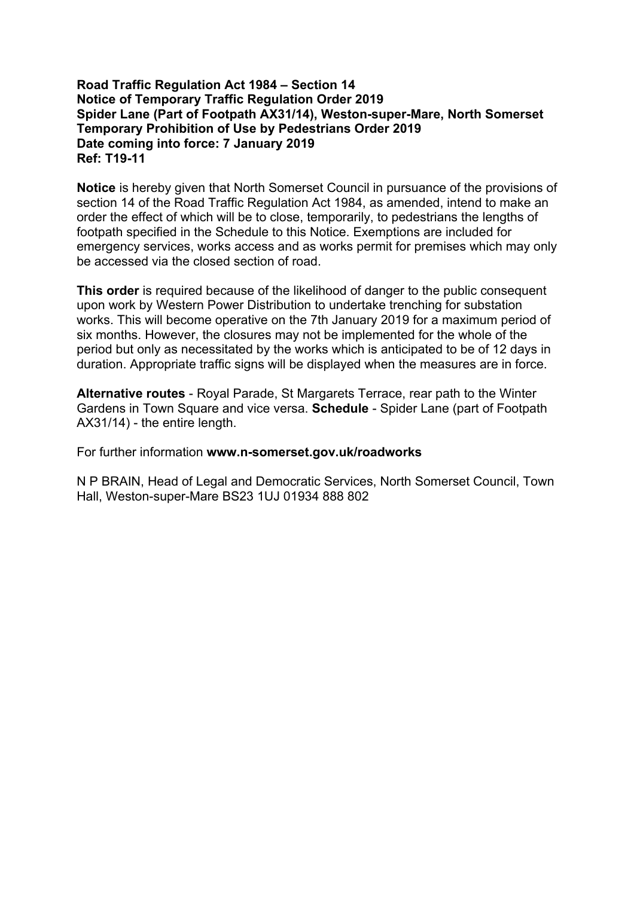# **Road Traffic Regulation Act 1984 – Section 14 Notice of Temporary Traffic Regulation Order 2019 Spider Lane (Part of Footpath AX31/14), Weston-super-Mare, North Somerset Temporary Prohibition of Use by Pedestrians Order 2019 Date coming into force: 7 January 2019 Ref: T19-11**

**Notice** is hereby given that North Somerset Council in pursuance of the provisions of section 14 of the Road Traffic Regulation Act 1984, as amended, intend to make an order the effect of which will be to close, temporarily, to pedestrians the lengths of footpath specified in the Schedule to this Notice. Exemptions are included for emergency services, works access and as works permit for premises which may only be accessed via the closed section of road.

**This order** is required because of the likelihood of danger to the public consequent upon work by Western Power Distribution to undertake trenching for substation works. This will become operative on the 7th January 2019 for a maximum period of six months. However, the closures may not be implemented for the whole of the period but only as necessitated by the works which is anticipated to be of 12 days in duration. Appropriate traffic signs will be displayed when the measures are in force.

**Alternative routes** - Royal Parade, St Margarets Terrace, rear path to the Winter Gardens in Town Square and vice versa. **Schedule** - Spider Lane (part of Footpath AX31/14) - the entire length.

For further information **www.n-somerset.gov.uk/roadworks**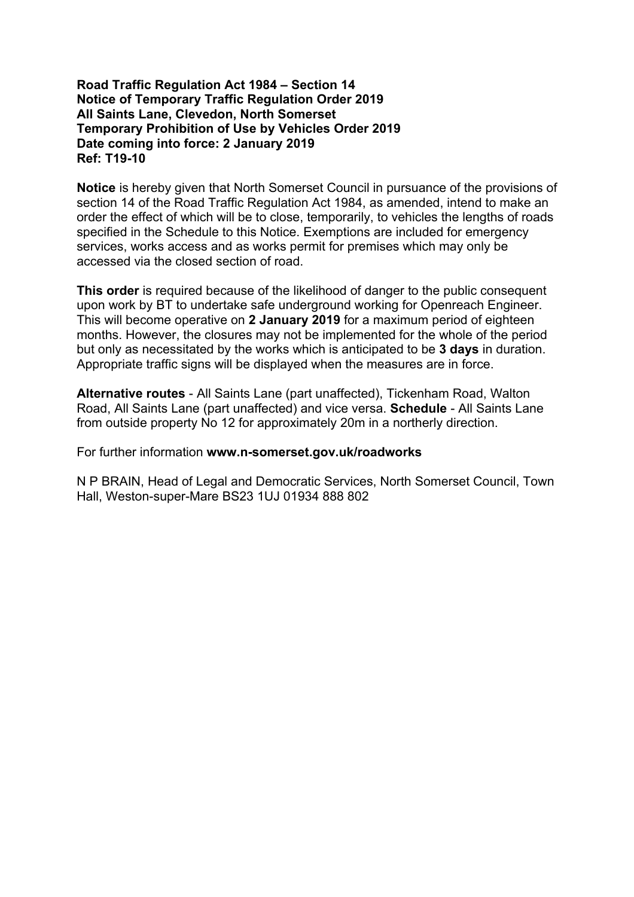## **Road Traffic Regulation Act 1984 – Section 14 Notice of Temporary Traffic Regulation Order 2019 All Saints Lane, Clevedon, North Somerset Temporary Prohibition of Use by Vehicles Order 2019 Date coming into force: 2 January 2019 Ref: T19-10**

**Notice** is hereby given that North Somerset Council in pursuance of the provisions of section 14 of the Road Traffic Regulation Act 1984, as amended, intend to make an order the effect of which will be to close, temporarily, to vehicles the lengths of roads specified in the Schedule to this Notice. Exemptions are included for emergency services, works access and as works permit for premises which may only be accessed via the closed section of road.

**This order** is required because of the likelihood of danger to the public consequent upon work by BT to undertake safe underground working for Openreach Engineer. This will become operative on **2 January 2019** for a maximum period of eighteen months. However, the closures may not be implemented for the whole of the period but only as necessitated by the works which is anticipated to be **3 days** in duration. Appropriate traffic signs will be displayed when the measures are in force.

**Alternative routes** - All Saints Lane (part unaffected), Tickenham Road, Walton Road, All Saints Lane (part unaffected) and vice versa. **Schedule** - All Saints Lane from outside property No 12 for approximately 20m in a northerly direction.

For further information **www.n-somerset.gov.uk/roadworks**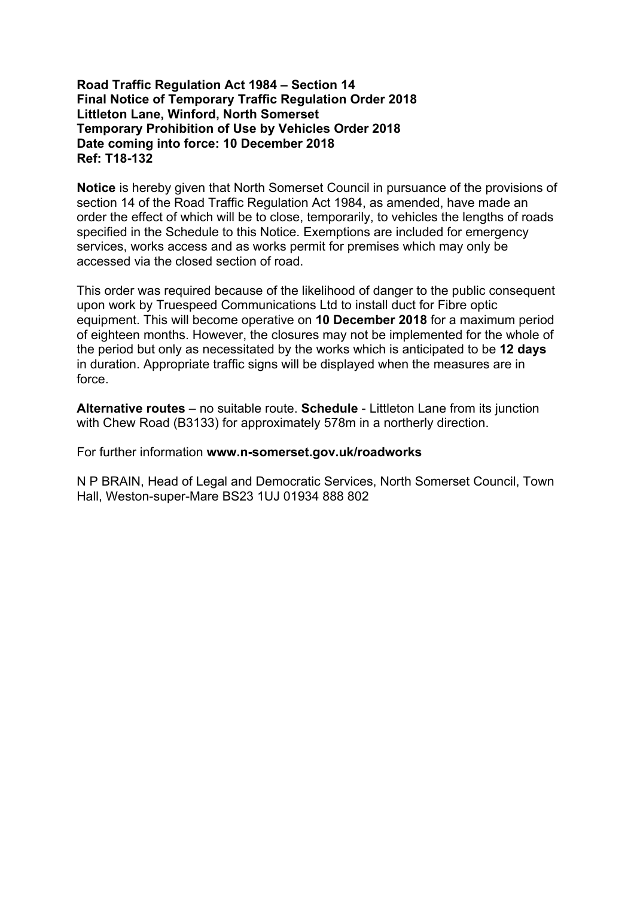# **Road Traffic Regulation Act 1984 – Section 14 Final Notice of Temporary Traffic Regulation Order 2018 Littleton Lane, Winford, North Somerset Temporary Prohibition of Use by Vehicles Order 2018 Date coming into force: 10 December 2018 Ref: T18-132**

**Notice** is hereby given that North Somerset Council in pursuance of the provisions of section 14 of the Road Traffic Regulation Act 1984, as amended, have made an order the effect of which will be to close, temporarily, to vehicles the lengths of roads specified in the Schedule to this Notice. Exemptions are included for emergency services, works access and as works permit for premises which may only be accessed via the closed section of road.

This order was required because of the likelihood of danger to the public consequent upon work by Truespeed Communications Ltd to install duct for Fibre optic equipment. This will become operative on **10 December 2018** for a maximum period of eighteen months. However, the closures may not be implemented for the whole of the period but only as necessitated by the works which is anticipated to be **12 days** in duration. Appropriate traffic signs will be displayed when the measures are in force.

**Alternative routes** – no suitable route. **Schedule** - Littleton Lane from its junction with Chew Road (B3133) for approximately 578m in a northerly direction.

For further information **www.n-somerset.gov.uk/roadworks**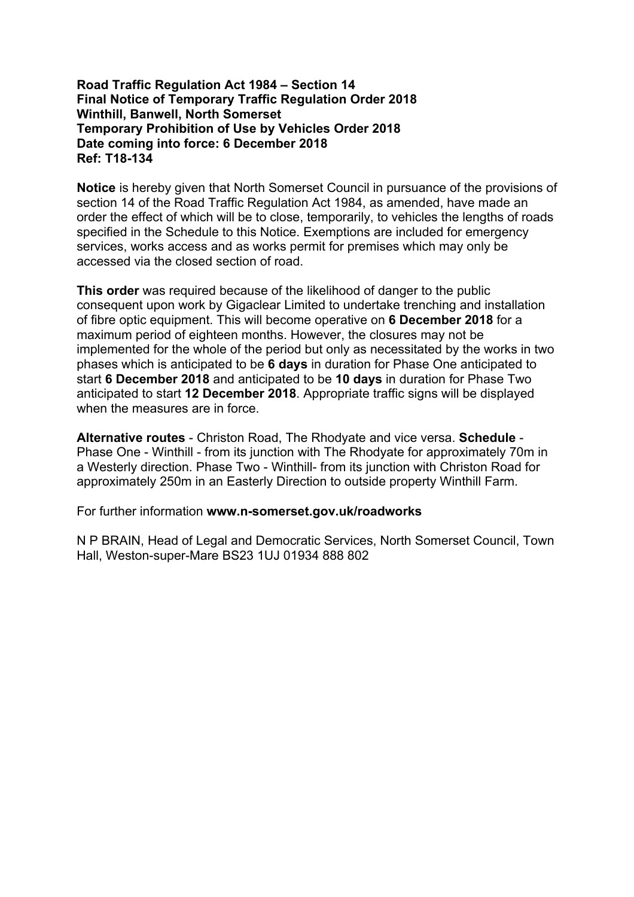# **Road Traffic Regulation Act 1984 – Section 14 Final Notice of Temporary Traffic Regulation Order 2018 Winthill, Banwell, North Somerset Temporary Prohibition of Use by Vehicles Order 2018 Date coming into force: 6 December 2018 Ref: T18-134**

**Notice** is hereby given that North Somerset Council in pursuance of the provisions of section 14 of the Road Traffic Regulation Act 1984, as amended, have made an order the effect of which will be to close, temporarily, to vehicles the lengths of roads specified in the Schedule to this Notice. Exemptions are included for emergency services, works access and as works permit for premises which may only be accessed via the closed section of road.

**This order** was required because of the likelihood of danger to the public consequent upon work by Gigaclear Limited to undertake trenching and installation of fibre optic equipment. This will become operative on **6 December 2018** for a maximum period of eighteen months. However, the closures may not be implemented for the whole of the period but only as necessitated by the works in two phases which is anticipated to be **6 days** in duration for Phase One anticipated to start **6 December 2018** and anticipated to be **10 days** in duration for Phase Two anticipated to start **12 December 2018**. Appropriate traffic signs will be displayed when the measures are in force.

**Alternative routes** - Christon Road, The Rhodyate and vice versa. **Schedule** - Phase One - Winthill - from its junction with The Rhodyate for approximately 70m in a Westerly direction. Phase Two - Winthill- from its junction with Christon Road for approximately 250m in an Easterly Direction to outside property Winthill Farm.

For further information **www.n-somerset.gov.uk/roadworks**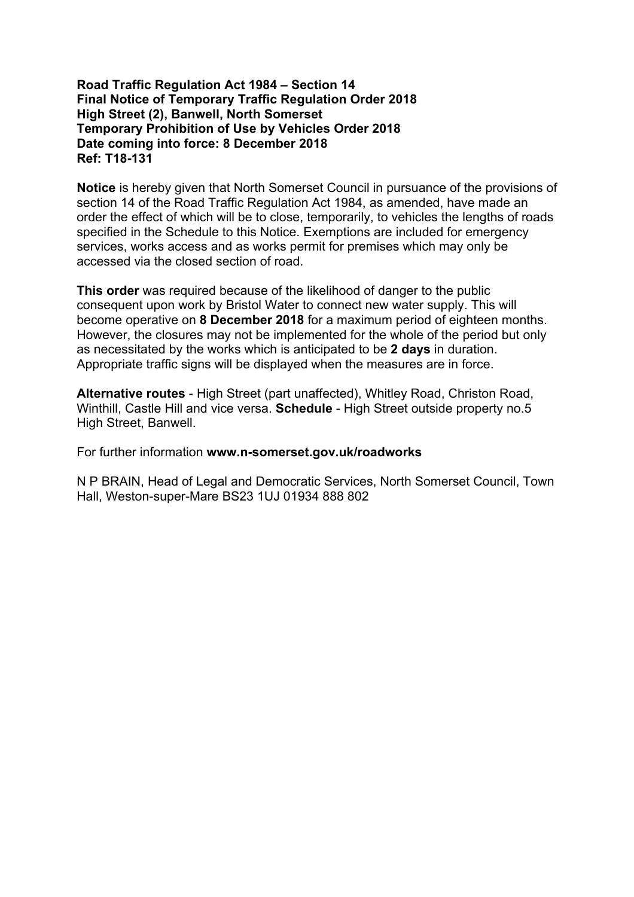# **Road Traffic Regulation Act 1984 – Section 14 Final Notice of Temporary Traffic Regulation Order 2018 High Street (2), Banwell, North Somerset Temporary Prohibition of Use by Vehicles Order 2018 Date coming into force: 8 December 2018 Ref: T18-131**

**Notice** is hereby given that North Somerset Council in pursuance of the provisions of section 14 of the Road Traffic Regulation Act 1984, as amended, have made an order the effect of which will be to close, temporarily, to vehicles the lengths of roads specified in the Schedule to this Notice. Exemptions are included for emergency services, works access and as works permit for premises which may only be accessed via the closed section of road.

**This order** was required because of the likelihood of danger to the public consequent upon work by Bristol Water to connect new water supply. This will become operative on **8 December 2018** for a maximum period of eighteen months. However, the closures may not be implemented for the whole of the period but only as necessitated by the works which is anticipated to be **2 days** in duration. Appropriate traffic signs will be displayed when the measures are in force.

**Alternative routes** - High Street (part unaffected), Whitley Road, Christon Road, Winthill, Castle Hill and vice versa. **Schedule** - High Street outside property no.5 High Street, Banwell.

For further information **www.n-somerset.gov.uk/roadworks**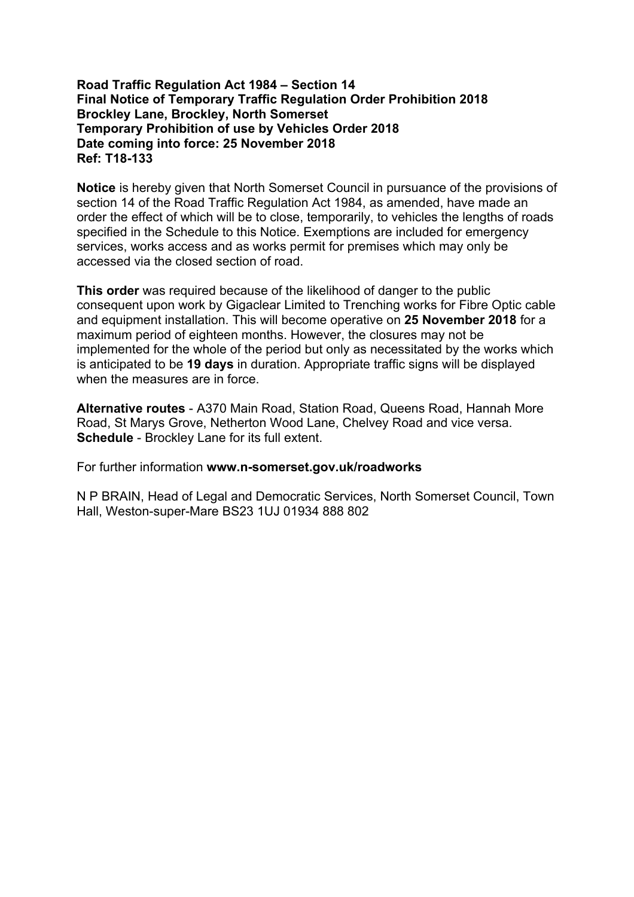# **Road Traffic Regulation Act 1984 – Section 14 Final Notice of Temporary Traffic Regulation Order Prohibition 2018 Brockley Lane, Brockley, North Somerset Temporary Prohibition of use by Vehicles Order 2018 Date coming into force: 25 November 2018 Ref: T18-133**

**Notice** is hereby given that North Somerset Council in pursuance of the provisions of section 14 of the Road Traffic Regulation Act 1984, as amended, have made an order the effect of which will be to close, temporarily, to vehicles the lengths of roads specified in the Schedule to this Notice. Exemptions are included for emergency services, works access and as works permit for premises which may only be accessed via the closed section of road.

**This order** was required because of the likelihood of danger to the public consequent upon work by Gigaclear Limited to Trenching works for Fibre Optic cable and equipment installation. This will become operative on **25 November 2018** for a maximum period of eighteen months. However, the closures may not be implemented for the whole of the period but only as necessitated by the works which is anticipated to be **19 days** in duration. Appropriate traffic signs will be displayed when the measures are in force.

**Alternative routes** - A370 Main Road, Station Road, Queens Road, Hannah More Road, St Marys Grove, Netherton Wood Lane, Chelvey Road and vice versa. **Schedule** - Brockley Lane for its full extent.

For further information **www.n-somerset.gov.uk/roadworks**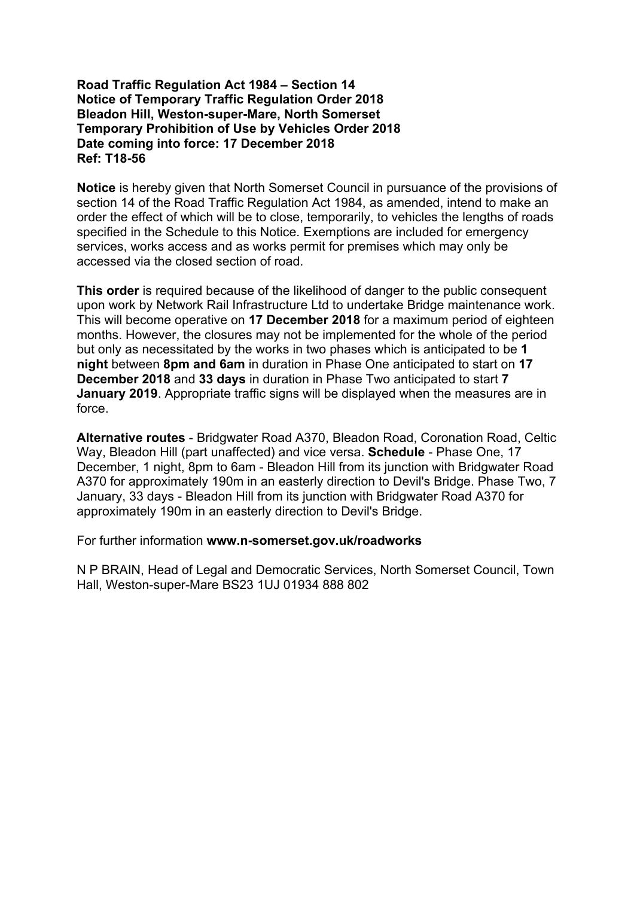## **Road Traffic Regulation Act 1984 – Section 14 Notice of Temporary Traffic Regulation Order 2018 Bleadon Hill, Weston-super-Mare, North Somerset Temporary Prohibition of Use by Vehicles Order 2018 Date coming into force: 17 December 2018 Ref: T18-56**

**Notice** is hereby given that North Somerset Council in pursuance of the provisions of section 14 of the Road Traffic Regulation Act 1984, as amended, intend to make an order the effect of which will be to close, temporarily, to vehicles the lengths of roads specified in the Schedule to this Notice. Exemptions are included for emergency services, works access and as works permit for premises which may only be accessed via the closed section of road.

**This order** is required because of the likelihood of danger to the public consequent upon work by Network Rail Infrastructure Ltd to undertake Bridge maintenance work. This will become operative on **17 December 2018** for a maximum period of eighteen months. However, the closures may not be implemented for the whole of the period but only as necessitated by the works in two phases which is anticipated to be **1 night** between **8pm and 6am** in duration in Phase One anticipated to start on **17 December 2018** and **33 days** in duration in Phase Two anticipated to start **7 January 2019**. Appropriate traffic signs will be displayed when the measures are in force.

**Alternative routes** - Bridgwater Road A370, Bleadon Road, Coronation Road, Celtic Way, Bleadon Hill (part unaffected) and vice versa. **Schedule** - Phase One, 17 December, 1 night, 8pm to 6am - Bleadon Hill from its junction with Bridgwater Road A370 for approximately 190m in an easterly direction to Devil's Bridge. Phase Two, 7 January, 33 days - Bleadon Hill from its junction with Bridgwater Road A370 for approximately 190m in an easterly direction to Devil's Bridge.

For further information **www.n-somerset.gov.uk/roadworks**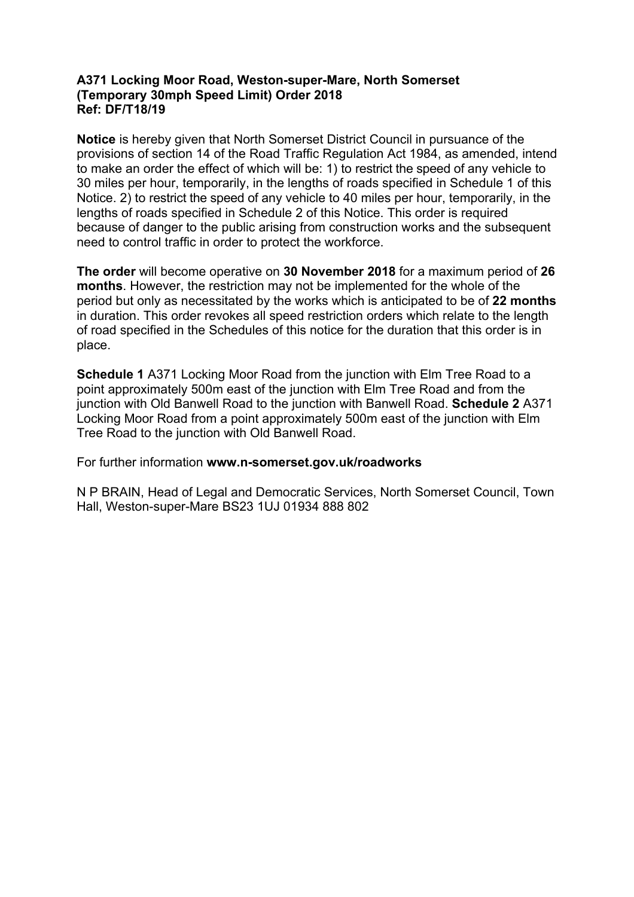# **A371 Locking Moor Road, Weston-super-Mare, North Somerset (Temporary 30mph Speed Limit) Order 2018 Ref: DF/T18/19**

**Notice** is hereby given that North Somerset District Council in pursuance of the provisions of section 14 of the Road Traffic Regulation Act 1984, as amended, intend to make an order the effect of which will be: 1) to restrict the speed of any vehicle to 30 miles per hour, temporarily, in the lengths of roads specified in Schedule 1 of this Notice. 2) to restrict the speed of any vehicle to 40 miles per hour, temporarily, in the lengths of roads specified in Schedule 2 of this Notice. This order is required because of danger to the public arising from construction works and the subsequent need to control traffic in order to protect the workforce.

**The order** will become operative on **30 November 2018** for a maximum period of **26 months**. However, the restriction may not be implemented for the whole of the period but only as necessitated by the works which is anticipated to be of **22 months** in duration. This order revokes all speed restriction orders which relate to the length of road specified in the Schedules of this notice for the duration that this order is in place.

**Schedule 1** A371 Locking Moor Road from the junction with Elm Tree Road to a point approximately 500m east of the junction with Elm Tree Road and from the junction with Old Banwell Road to the junction with Banwell Road. **Schedule 2** A371 Locking Moor Road from a point approximately 500m east of the junction with Elm Tree Road to the junction with Old Banwell Road.

For further information **www.n-somerset.gov.uk/roadworks**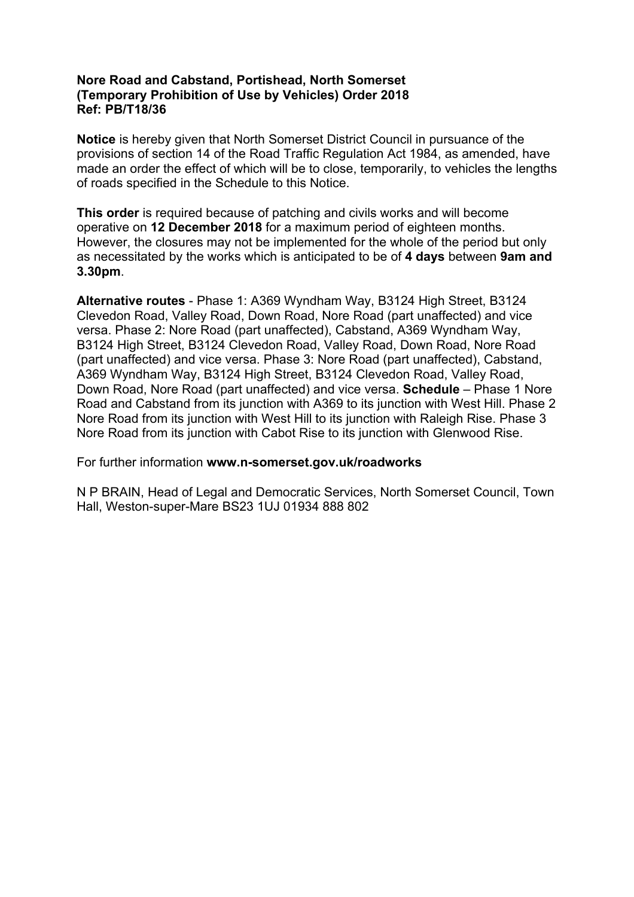# **Nore Road and Cabstand, Portishead, North Somerset (Temporary Prohibition of Use by Vehicles) Order 2018 Ref: PB/T18/36**

**Notice** is hereby given that North Somerset District Council in pursuance of the provisions of section 14 of the Road Traffic Regulation Act 1984, as amended, have made an order the effect of which will be to close, temporarily, to vehicles the lengths of roads specified in the Schedule to this Notice.

**This order** is required because of patching and civils works and will become operative on **12 December 2018** for a maximum period of eighteen months. However, the closures may not be implemented for the whole of the period but only as necessitated by the works which is anticipated to be of **4 days** between **9am and 3.30pm**.

**Alternative routes** - Phase 1: A369 Wyndham Way, B3124 High Street, B3124 Clevedon Road, Valley Road, Down Road, Nore Road (part unaffected) and vice versa. Phase 2: Nore Road (part unaffected), Cabstand, A369 Wyndham Way, B3124 High Street, B3124 Clevedon Road, Valley Road, Down Road, Nore Road (part unaffected) and vice versa. Phase 3: Nore Road (part unaffected), Cabstand, A369 Wyndham Way, B3124 High Street, B3124 Clevedon Road, Valley Road, Down Road, Nore Road (part unaffected) and vice versa. **Schedule** – Phase 1 Nore Road and Cabstand from its junction with A369 to its junction with West Hill. Phase 2 Nore Road from its junction with West Hill to its junction with Raleigh Rise. Phase 3 Nore Road from its junction with Cabot Rise to its junction with Glenwood Rise.

For further information **www.n-somerset.gov.uk/roadworks**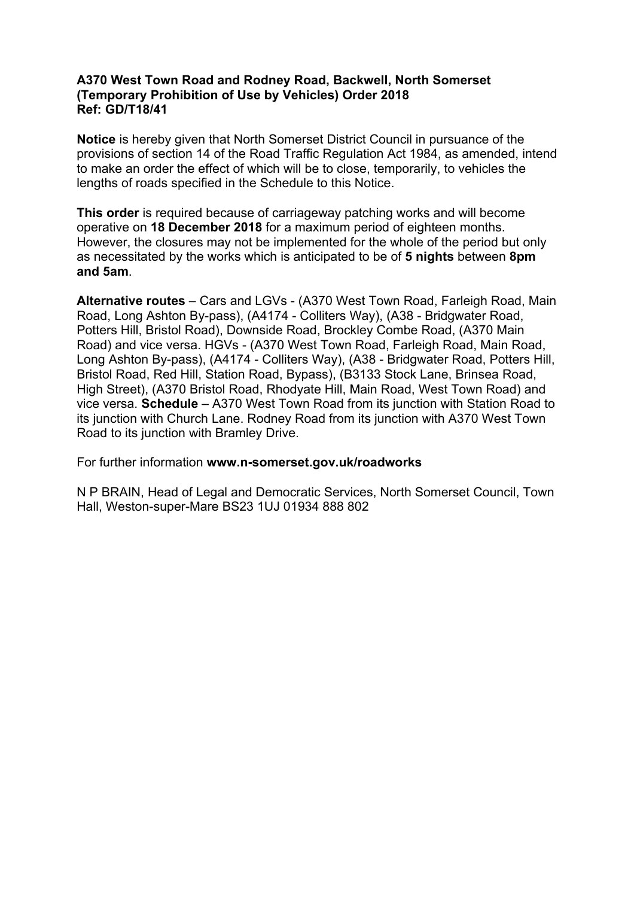# **A370 West Town Road and Rodney Road, Backwell, North Somerset (Temporary Prohibition of Use by Vehicles) Order 2018 Ref: GD/T18/41**

**Notice** is hereby given that North Somerset District Council in pursuance of the provisions of section 14 of the Road Traffic Regulation Act 1984, as amended, intend to make an order the effect of which will be to close, temporarily, to vehicles the lengths of roads specified in the Schedule to this Notice.

**This order** is required because of carriageway patching works and will become operative on **18 December 2018** for a maximum period of eighteen months. However, the closures may not be implemented for the whole of the period but only as necessitated by the works which is anticipated to be of **5 nights** between **8pm and 5am**.

**Alternative routes** – Cars and LGVs - (A370 West Town Road, Farleigh Road, Main Road, Long Ashton By-pass), (A4174 - Colliters Way), (A38 - Bridgwater Road, Potters Hill, Bristol Road), Downside Road, Brockley Combe Road, (A370 Main Road) and vice versa. HGVs - (A370 West Town Road, Farleigh Road, Main Road, Long Ashton By-pass), (A4174 - Colliters Way), (A38 - Bridgwater Road, Potters Hill, Bristol Road, Red Hill, Station Road, Bypass), (B3133 Stock Lane, Brinsea Road, High Street), (A370 Bristol Road, Rhodyate Hill, Main Road, West Town Road) and vice versa. **Schedule** – A370 West Town Road from its junction with Station Road to its junction with Church Lane. Rodney Road from its junction with A370 West Town Road to its junction with Bramley Drive.

For further information **www.n-somerset.gov.uk/roadworks**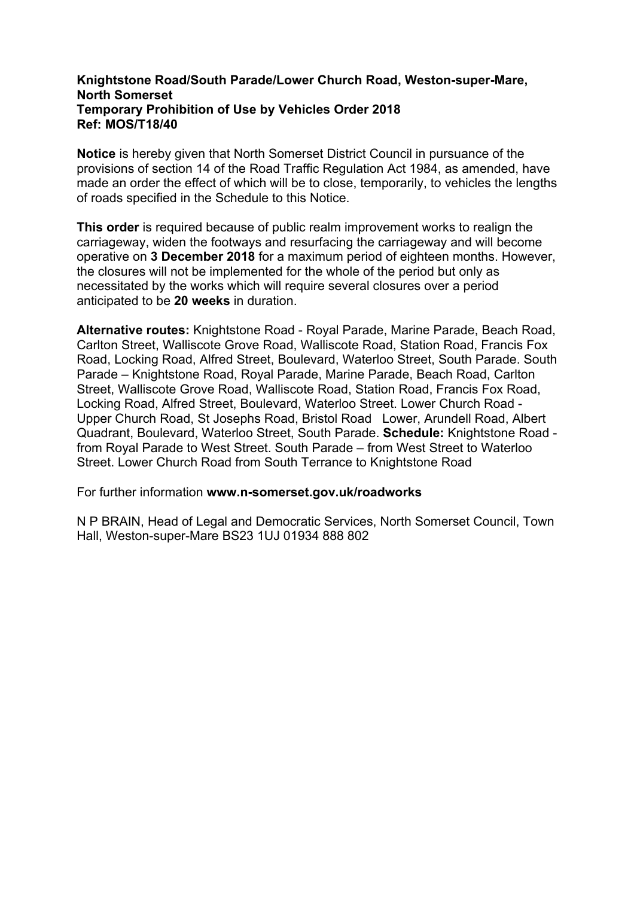# **Knightstone Road/South Parade/Lower Church Road, Weston-super-Mare, North Somerset Temporary Prohibition of Use by Vehicles Order 2018 Ref: MOS/T18/40**

**Notice** is hereby given that North Somerset District Council in pursuance of the provisions of section 14 of the Road Traffic Regulation Act 1984, as amended, have made an order the effect of which will be to close, temporarily, to vehicles the lengths of roads specified in the Schedule to this Notice.

**This order** is required because of public realm improvement works to realign the carriageway, widen the footways and resurfacing the carriageway and will become operative on **3 December 2018** for a maximum period of eighteen months. However, the closures will not be implemented for the whole of the period but only as necessitated by the works which will require several closures over a period anticipated to be **20 weeks** in duration.

**Alternative routes:** Knightstone Road - Royal Parade, Marine Parade, Beach Road, Carlton Street, Walliscote Grove Road, Walliscote Road, Station Road, Francis Fox Road, Locking Road, Alfred Street, Boulevard, Waterloo Street, South Parade. South Parade – Knightstone Road, Royal Parade, Marine Parade, Beach Road, Carlton Street, Walliscote Grove Road, Walliscote Road, Station Road, Francis Fox Road, Locking Road, Alfred Street, Boulevard, Waterloo Street. Lower Church Road - Upper Church Road, St Josephs Road, Bristol Road Lower, Arundell Road, Albert Quadrant, Boulevard, Waterloo Street, South Parade. **Schedule:** Knightstone Road from Royal Parade to West Street. South Parade – from West Street to Waterloo Street. Lower Church Road from South Terrance to Knightstone Road

For further information **www.n-somerset.gov.uk/roadworks**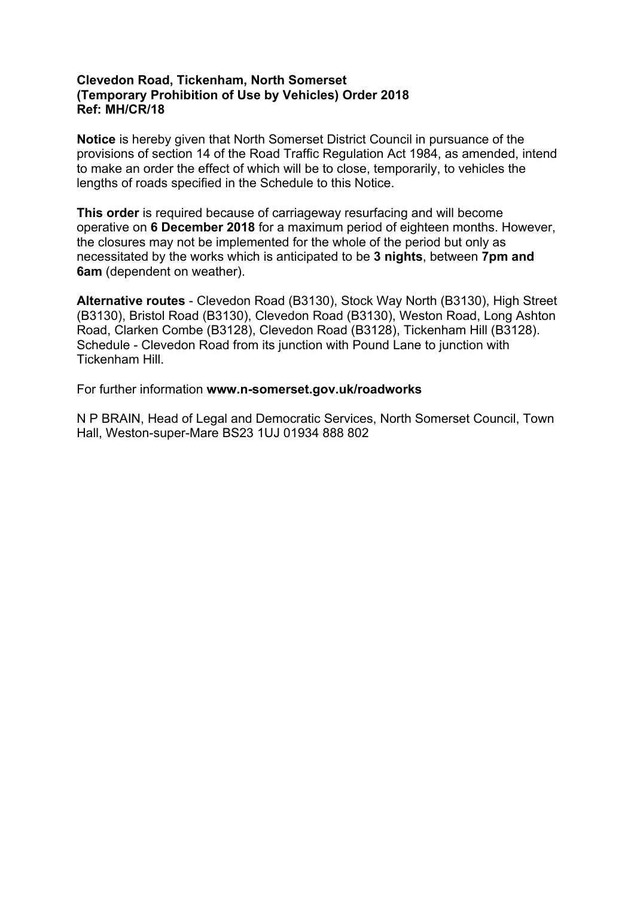# **Clevedon Road, Tickenham, North Somerset (Temporary Prohibition of Use by Vehicles) Order 2018 Ref: MH/CR/18**

**Notice** is hereby given that North Somerset District Council in pursuance of the provisions of section 14 of the Road Traffic Regulation Act 1984, as amended, intend to make an order the effect of which will be to close, temporarily, to vehicles the lengths of roads specified in the Schedule to this Notice.

**This order** is required because of carriageway resurfacing and will become operative on **6 December 2018** for a maximum period of eighteen months. However, the closures may not be implemented for the whole of the period but only as necessitated by the works which is anticipated to be **3 nights**, between **7pm and 6am** (dependent on weather).

**Alternative routes** - Clevedon Road (B3130), Stock Way North (B3130), High Street (B3130), Bristol Road (B3130), Clevedon Road (B3130), Weston Road, Long Ashton Road, Clarken Combe (B3128), Clevedon Road (B3128), Tickenham Hill (B3128). Schedule - Clevedon Road from its junction with Pound Lane to junction with Tickenham Hill.

For further information **www.n-somerset.gov.uk/roadworks**